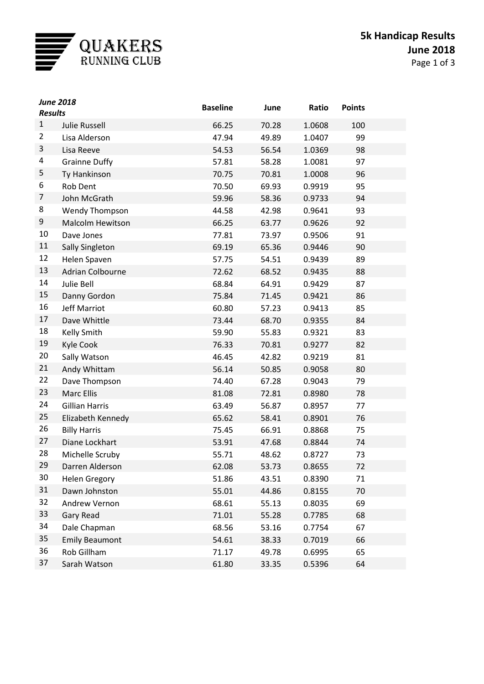

| <b>June 2018</b><br><b>Results</b> |                         | <b>Baseline</b> | June  | Ratio  | <b>Points</b> |
|------------------------------------|-------------------------|-----------------|-------|--------|---------------|
| $\mathbf{1}$                       | <b>Julie Russell</b>    | 66.25           | 70.28 | 1.0608 | 100           |
| 2                                  | Lisa Alderson           | 47.94           | 49.89 | 1.0407 | 99            |
| 3                                  | Lisa Reeve              | 54.53           | 56.54 | 1.0369 | 98            |
| 4                                  | <b>Grainne Duffy</b>    | 57.81           | 58.28 | 1.0081 | 97            |
| 5                                  | Ty Hankinson            | 70.75           | 70.81 | 1.0008 | 96            |
| 6                                  | Rob Dent                | 70.50           | 69.93 | 0.9919 | 95            |
| 7                                  | John McGrath            | 59.96           | 58.36 | 0.9733 | 94            |
| 8                                  | <b>Wendy Thompson</b>   | 44.58           | 42.98 | 0.9641 | 93            |
| 9                                  | <b>Malcolm Hewitson</b> | 66.25           | 63.77 | 0.9626 | 92            |
| 10                                 | Dave Jones              | 77.81           | 73.97 | 0.9506 | 91            |
| 11                                 | Sally Singleton         | 69.19           | 65.36 | 0.9446 | 90            |
| 12                                 | Helen Spaven            | 57.75           | 54.51 | 0.9439 | 89            |
| 13                                 | Adrian Colbourne        | 72.62           | 68.52 | 0.9435 | 88            |
| 14                                 | Julie Bell              | 68.84           | 64.91 | 0.9429 | 87            |
| 15                                 | Danny Gordon            | 75.84           | 71.45 | 0.9421 | 86            |
| 16                                 | <b>Jeff Marriot</b>     | 60.80           | 57.23 | 0.9413 | 85            |
| 17                                 | Dave Whittle            | 73.44           | 68.70 | 0.9355 | 84            |
| 18                                 | Kelly Smith             | 59.90           | 55.83 | 0.9321 | 83            |
| 19                                 | Kyle Cook               | 76.33           | 70.81 | 0.9277 | 82            |
| 20                                 | Sally Watson            | 46.45           | 42.82 | 0.9219 | 81            |
| 21                                 | Andy Whittam            | 56.14           | 50.85 | 0.9058 | 80            |
| 22                                 | Dave Thompson           | 74.40           | 67.28 | 0.9043 | 79            |
| 23                                 | Marc Ellis              | 81.08           | 72.81 | 0.8980 | 78            |
| 24                                 | <b>Gillian Harris</b>   | 63.49           | 56.87 | 0.8957 | 77            |
| 25                                 | Elizabeth Kennedy       | 65.62           | 58.41 | 0.8901 | 76            |
| 26                                 | <b>Billy Harris</b>     | 75.45           | 66.91 | 0.8868 | 75            |
| 27                                 | Diane Lockhart          | 53.91           | 47.68 | 0.8844 | 74            |
| 28                                 | Michelle Scruby         | 55.71           | 48.62 | 0.8727 | 73            |
| 29                                 | Darren Alderson         | 62.08           | 53.73 | 0.8655 | 72            |
| 30                                 | <b>Helen Gregory</b>    | 51.86           | 43.51 | 0.8390 | 71            |
| 31                                 | Dawn Johnston           | 55.01           | 44.86 | 0.8155 | 70            |
| 32                                 | Andrew Vernon           | 68.61           | 55.13 | 0.8035 | 69            |
| 33                                 | <b>Gary Read</b>        | 71.01           | 55.28 | 0.7785 | 68            |
| 34                                 | Dale Chapman            | 68.56           | 53.16 | 0.7754 | 67            |
| 35                                 | <b>Emily Beaumont</b>   | 54.61           | 38.33 | 0.7019 | 66            |
| 36                                 | Rob Gillham             | 71.17           | 49.78 | 0.6995 | 65            |
| 37                                 | Sarah Watson            | 61.80           | 33.35 | 0.5396 | 64            |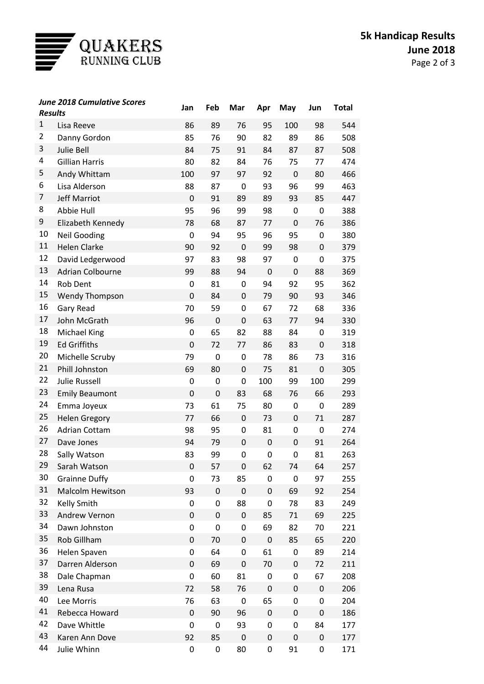

| <b>Results</b> | <b>June 2018 Cumulative Scores</b>       | Jan            | Feb         | Mar         | Apr            | May              | Jun | Total      |
|----------------|------------------------------------------|----------------|-------------|-------------|----------------|------------------|-----|------------|
| 1              | Lisa Reeve                               | 86             | 89          | 76          | 95             | 100              | 98  | 544        |
| 2              | Danny Gordon                             | 85             | 76          | 90          | 82             | 89               | 86  | 508        |
| 3              | <b>Julie Bell</b>                        | 84             | 75          | 91          | 84             | 87               | 87  | 508        |
| 4              | <b>Gillian Harris</b>                    | 80             | 82          | 84          | 76             | 75               | 77  | 474        |
| 5              | Andy Whittam                             | 100            | 97          | 97          | 92             | $\boldsymbol{0}$ | 80  | 466        |
| 6              | Lisa Alderson                            | 88             | 87          | 0           | 93             | 96               | 99  | 463        |
| 7              | <b>Jeff Marriot</b>                      | $\overline{0}$ | 91          | 89          | 89             | 93               | 85  | 447        |
| 8              | Abbie Hull                               | 95             | 96          | 99          | 98             | 0                | 0   | 388        |
| 9              | Elizabeth Kennedy                        | 78             | 68          | 87          | 77             | $\boldsymbol{0}$ | 76  | 386        |
| 10             | <b>Neil Gooding</b>                      | 0              | 94          | 95          | 96             | 95               | 0   | 380        |
| 11             | <b>Helen Clarke</b>                      | 90             | 92          | $\mathbf 0$ | 99             | 98               | 0   | 379        |
| 12             | David Ledgerwood                         | 97             | 83          | 98          | 97             | 0                | 0   | 375        |
| 13             | <b>Adrian Colbourne</b>                  | 99             | 88          | 94          | $\pmb{0}$      | $\boldsymbol{0}$ | 88  | 369        |
| 14             | <b>Rob Dent</b>                          | 0              | 81          | 0           | 94             | 92               | 95  | 362        |
| 15             | <b>Wendy Thompson</b>                    | $\overline{0}$ | 84          | 0           | 79             | 90               | 93  | 346        |
| 16             | Gary Read                                | 70             | 59          | 0           | 67             | 72               | 68  | 336        |
| 17             | John McGrath                             | 96             | $\mathbf 0$ | 0           | 63             | 77               | 94  | 330        |
| 18             | Michael King                             | 0              | 65          | 82          | 88             | 84               | 0   | 319        |
| 19             | <b>Ed Griffiths</b>                      | $\overline{0}$ | 72          | 77          | 86             | 83               | 0   | 318        |
| 20             | Michelle Scruby                          | 79             | 0           | 0           | 78             | 86               | 73  | 316        |
| 21             | Phill Johnston                           | 69             | 80          | 0           | 75             | 81               | 0   | 305        |
| 22             | <b>Julie Russell</b>                     | 0              | 0           | 0           | 100            | 99               | 100 | 299        |
| 23             |                                          | $\overline{0}$ | $\mathbf 0$ | 83          | 68             | 76               | 66  | 293        |
| 24             | <b>Emily Beaumont</b>                    | 73             | 61          | 75          | 80             | 0                | 0   | 289        |
| 25             | Emma Joyeux                              | 77             | 66          | 0           |                | $\pmb{0}$        | 71  |            |
| 26             | <b>Helen Gregory</b>                     |                |             |             | 73             |                  |     | 287        |
| 27             | <b>Adrian Cottam</b>                     | 98             | 95          | 0           | 81             | 0                | 0   | 274        |
| 28             | Dave Jones                               | 94             | 79          | 0           | $\mathbf 0$    | $\pmb{0}$        | 91  | 264        |
| 29             | Sally Watson                             | 83             | 99          | 0           | 0              | 0                | 81  | 263        |
| 30             | Sarah Watson                             | 0              | 57          | 0           | 62             | 74               | 64  | 257        |
| 31             | <b>Grainne Duffy</b><br>Malcolm Hewitson | 0<br>93        | 73<br>0     | 85<br>0     | 0<br>$\pmb{0}$ | 0                | 97  | 255<br>254 |
| 32             |                                          | 0              |             |             | 0              | 69               | 92  |            |
| 33             | Kelly Smith<br>Andrew Vernon             | 0              | 0<br>0      | 88<br>0     |                | 78               | 83  | 249        |
| 34             | Dawn Johnston                            |                |             |             | 85             | 71               | 69  | 225        |
| 35             |                                          | 0<br>0         | 0           | 0           | 69             | 82               | 70  | 221        |
| 36             | Rob Gillham                              |                | 70          | 0           | $\pmb{0}$      | 85               | 65  | 220        |
| 37             | Helen Spaven                             | 0              | 64          | 0           | 61             | 0                | 89  | 214        |
| 38             | Darren Alderson                          | 0              | 69          | 0           | 70             | $\pmb{0}$        | 72  | 211        |
| 39             | Dale Chapman                             | 0              | 60          | 81          | 0              | 0                | 67  | 208        |
| 40             | Lena Rusa                                | 72             | 58          | 76          | $\pmb{0}$      | $\pmb{0}$        | 0   | 206        |
|                | Lee Morris                               | 76             | 63          | 0           | 65             | 0                | 0   | 204        |
| 41             | Rebecca Howard                           | 0              | 90          | 96          | $\pmb{0}$      | $\pmb{0}$        | 0   | 186        |
| 42             | Dave Whittle                             | 0              | 0           | 93          | 0              | 0                | 84  | 177        |
| 43             | Karen Ann Dove                           | 92             | 85          | $\mathsf 0$ | $\pmb{0}$      | $\pmb{0}$        | 0   | 177        |
| 44             | Julie Whinn                              | 0              | 0           | 80          | 0              | 91               | 0   | 171        |